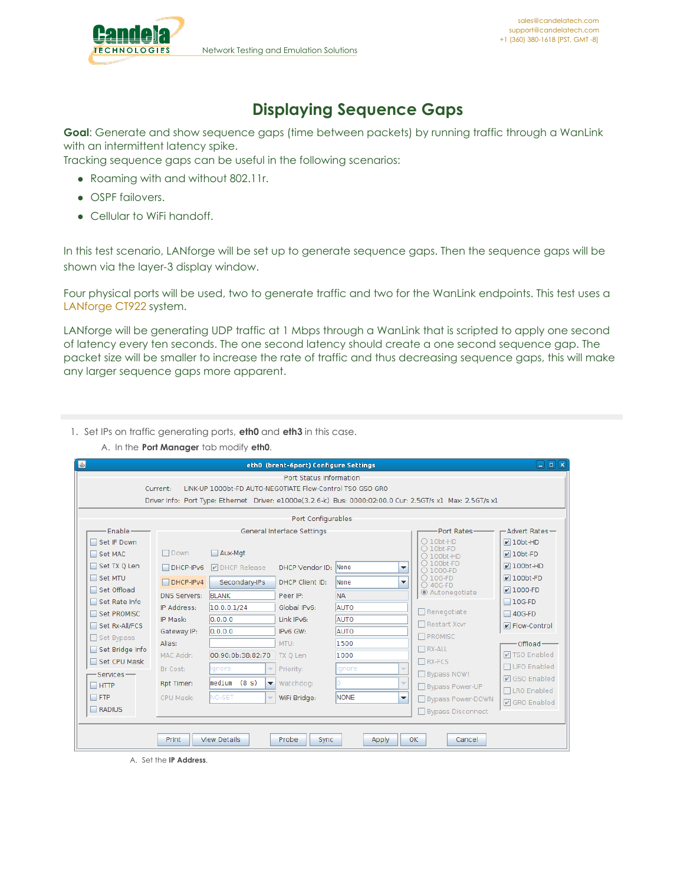

## **Displaying Sequence Gaps**

**Goal**: Generate and show sequence gaps (time between packets) by running traffic through a WanLink with an intermittent latency spike.

Tracking sequence gaps can be useful in the following scenarios:

- Roaming with and without 802.11r.
- OSPF failovers.
- Cellular to WiFi handoff.

In this test scenario, LANforge will be set up to generate sequence gaps. Then the sequence gaps will be shown via the layer-3 display window.

Four physical ports will be used, two to generate traffic and two for the WanLink endpoints. This test uses a [LANforge](http://www.candelatech.com/ct922_product.php) CT922 system.

LANforge will be generating UDP traffic at 1 Mbps through a WanLink that is scripted to apply one second of latency every ten seconds. The one second latency should create a one second sequence gap. The packet size will be smaller to increase the rate of traffic and thus decreasing sequence gaps, this will make any larger sequence gaps more apparent.

- 1. Set IPs on traffic generating ports, **eth0** and **eth3** in this case.
	- A. In the **Port Manager** tab modify **eth0**.

| $\mathbb{E}$                                                          |                                                                                                            |                                              | eth0 (brent-6port) Configure Settings |             |                                               | $\Box$ e $\bf k$     |  |  |  |
|-----------------------------------------------------------------------|------------------------------------------------------------------------------------------------------------|----------------------------------------------|---------------------------------------|-------------|-----------------------------------------------|----------------------|--|--|--|
|                                                                       | Port Status Information                                                                                    |                                              |                                       |             |                                               |                      |  |  |  |
| LINK-UP 1000bt-FD AUTO-NEGOTIATE Flow-Control TSO GSO GRO<br>Current: |                                                                                                            |                                              |                                       |             |                                               |                      |  |  |  |
|                                                                       | Driver Info: Port Type: Ethernet Driver: e1000e(3.2.6-k) Bus: 0000:02:00.0 Cur: 2.5GT/s x1 Max: 2.5GT/s x1 |                                              |                                       |             |                                               |                      |  |  |  |
| Port Configurables                                                    |                                                                                                            |                                              |                                       |             |                                               |                      |  |  |  |
| Fnable-                                                               |                                                                                                            |                                              | General Interface Settings            |             | Port Rates-                                   | -Advert Rates-       |  |  |  |
| Set IF Down                                                           |                                                                                                            |                                              |                                       |             | $O$ 10bt-HD                                   | $\nu$ 10bt-HD        |  |  |  |
| Set MAC                                                               | $\Box$ Down                                                                                                | Aux-Mgt                                      |                                       |             | $\bigcirc$ 10bt-FD<br>$\bigcirc$ 100bt-HD     | $V10bt-FD$           |  |  |  |
| Set TX Q Len                                                          | $\Box$ DHCP-IPv6                                                                                           | <b>D</b> DHCP Release                        | DHCP Vendor ID:                       | None        | $\bigcirc$ 100bt-FD<br>▼<br>○ 1000-FD         | $\nu$ 100bt-HD       |  |  |  |
| □ Set MTU                                                             | $DHCP-IPv4$                                                                                                | Secondary-IPs                                | DHCP Client ID:                       | <b>None</b> | $\bigcirc$ 10G-FD<br>$\overline{\phantom{a}}$ | $\nu$ 100bt-FD       |  |  |  |
| □ Set Offload                                                         | <b>DNS Servers:</b>                                                                                        | <b>BLANK</b>                                 | Peer IP:                              | <b>NA</b>   | ○ 40G-FD<br>Autonegotiate                     | $\nu$ 1000-FD        |  |  |  |
| □ Set Rate Info                                                       | IP Address:                                                                                                | 10.0.0.1/24                                  | Global IPv6:                          | AUTO        |                                               | $\Box$ 10G-FD        |  |  |  |
| Set PROMISC                                                           | IP Mask:                                                                                                   | 0.0.0.0                                      | Link IPv6:                            | <b>AUTO</b> | $\Box$ Renegotiate                            | $\Box$ 40G-FD        |  |  |  |
| Set Rx-All/FCS                                                        | Gateway IP:                                                                                                | 0.0.0.0                                      | IPv6 GW:                              | AUTO        | □ Restart Xcvr                                | P Flow-Control       |  |  |  |
| □ Set Bypass                                                          | Alias:                                                                                                     |                                              | MTU:                                  | 1500        | <b>N</b> PROMISC                              | Offload-             |  |  |  |
| Set Bridge Info                                                       | MAC Addr:                                                                                                  | 00:90:0b:38:82:70                            | TX 0 Len                              | 1000        | $\Box$ RX-ALL                                 | <b>☑ TSO Enabled</b> |  |  |  |
| Set CPU Mask                                                          |                                                                                                            |                                              |                                       |             | $\Box$ RX-FCS                                 | □ UFO Enabled        |  |  |  |
| Services-                                                             | Br Cost:                                                                                                   | Ignore<br>$\overline{\phantom{a}}$           | Priority:                             | Ignore      | $\overline{\phantom{a}}$<br>Bypass NOW!       | <b>☑</b> GSO Enabled |  |  |  |
| $\Box$ HTTP                                                           | Rpt Timer:                                                                                                 | lmedium<br>(8 s)<br>$\overline{\phantom{a}}$ | Watchdog:                             |             | $\overline{\phantom{a}}$<br>□ Bypass Power-UP | □ LRO Enabled        |  |  |  |
| $\Box$ FTP                                                            | CPU Mask:                                                                                                  | NO-SET<br>$\overline{\phantom{a}}$           | WiFi Bridge:                          | <b>NONE</b> | $\overline{\phantom{a}}$<br>Bypass Power-DOWN | <b>☑</b> GRO Enabled |  |  |  |
| $\Box$ RADIUS                                                         |                                                                                                            |                                              |                                       |             | Bypass Disconnect                             |                      |  |  |  |
|                                                                       |                                                                                                            |                                              |                                       |             |                                               |                      |  |  |  |
|                                                                       | <b>Print</b>                                                                                               | <b>View Details</b>                          | Probe<br><b>Sync</b>                  |             | 0K<br>Cancel                                  |                      |  |  |  |
|                                                                       |                                                                                                            |                                              |                                       | Apply       |                                               |                      |  |  |  |

A. Set the **IP Address**.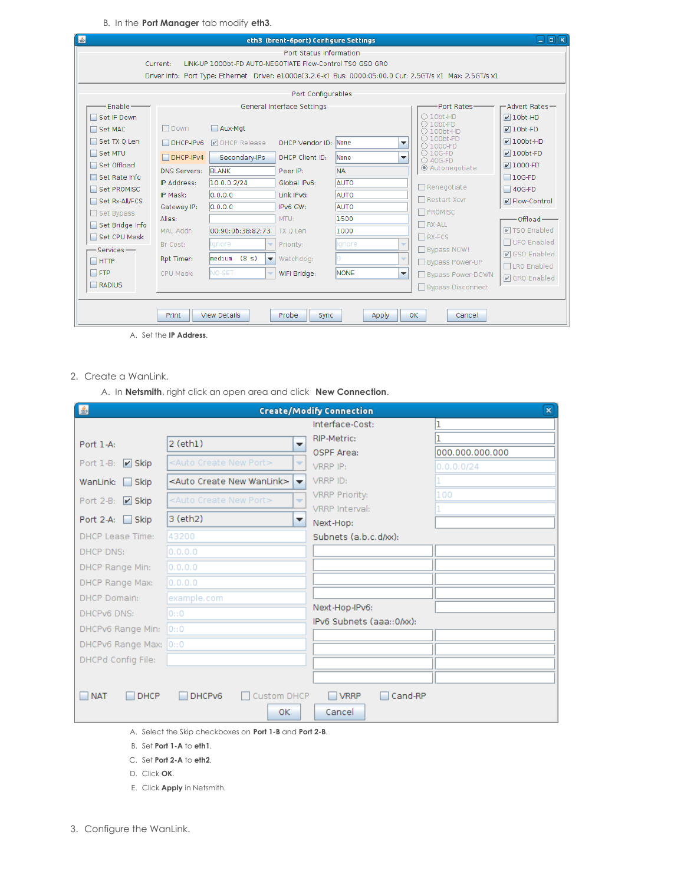B. In the **Port Manager** tab modify **eth3**.

| ■ |                                     |                       |                                                           | eth3 (brent-6port) Configure Settings |              |                          |                                                                                                            | 口同國                              |
|---|-------------------------------------|-----------------------|-----------------------------------------------------------|---------------------------------------|--------------|--------------------------|------------------------------------------------------------------------------------------------------------|----------------------------------|
|   |                                     | Current:              | LINK-UP 1000bt-FD AUTO-NEGOTIATE Flow-Control TSO GSO GRO | Port Status Information               |              |                          | Driver Info: Port Type: Ethernet Driver: e1000e(3.2.6-k) Bus: 0000:05:00.0 Cur: 2.5GT/s x1 Max: 2.5GT/s x1 |                                  |
|   |                                     |                       |                                                           | Port Configurables                    |              |                          |                                                                                                            |                                  |
|   | Fnable-                             |                       |                                                           | General Interface Settings            |              |                          | Port Rates-                                                                                                | -Advert Rates-                   |
|   | Set IF Down<br>Set MAC              | $\Box$ Down           | Aux-Mgt                                                   |                                       |              |                          | $\bigcirc$ 10bt-HD<br>$\bigcap$ 10bt-FD<br>$\bigcirc$ 100bt-HD                                             | $\nu$ 10bt-HD<br>$\nu$ 10bt-FD   |
|   | Set TX Q Len                        | $\Box$ DHCP-IPv6      | <b>D</b> DHCP Release                                     | DHCP Vendor ID: None                  |              | ▼                        | $\bigcirc$ 100bt-FD<br>○ 1000-FD                                                                           | $V100bt-HD$                      |
|   | Set MTU                             | $\Box$ DHCP-IPv4      | Secondary-IPs                                             | DHCP Client ID:                       | <b>None</b>  | $\overline{\phantom{a}}$ | $O$ 10G-FD<br>○ 40G-FD                                                                                     | $\nu$ 100bt-FD                   |
|   | Set Offload<br>$\Box$ Set Rate Info | <b>DNS Servers:</b>   | <b>BLANK</b>                                              | Peer IP:                              | <b>NA</b>    |                          | Autonegotiate                                                                                              | $V$ 1000-FD<br>$\Box$ 10G-FD     |
|   | Set PROMISC                         | IP Address:           | 10.0.0.2/24                                               | Global IPv6:                          | AUTO         |                          | $\Box$ Renegotiate                                                                                         | $\Box$ 40G-FD                    |
|   | Set Rx-All/FCS                      | IP Mask:              | 0.0.0.0                                                   | Link IPv6:                            | AUTO         |                          | □ Restart Xcvr                                                                                             | $\triangleright$ Flow-Control    |
|   | □ Set Bypass                        | Gateway IP:<br>Alias: | 0.0.0.0                                                   | IPv6 GW:<br>MTU:                      | AUTO<br>1500 |                          | <b>N</b> PROMISC                                                                                           |                                  |
|   | Set Bridge Info                     | MAC Addr:             | 00:90:0b:38:82:73                                         | TX 0 Len                              | 1000         |                          | $\Box$ RX-ALL                                                                                              | Offload-<br><b>☑ TSO Enabled</b> |
|   | Set CPU Mask                        | Br Cost:              | Ignore<br>$\overline{\phantom{a}}$                        | Priority:                             | Ignore       | $\overline{\phantom{a}}$ | $\Box$ RX-FCS                                                                                              | □ UFO Enabled                    |
|   | $-Senrices$ —                       |                       | (8 s)<br>lmedium                                          |                                       |              | $\overline{\phantom{a}}$ | □ Bypass NOW!                                                                                              | <b>☑</b> GSO Enabled             |
|   | $\Box$ HTTP                         | Rpt Timer:            | $\overline{\phantom{a}}$                                  | Watchdog:                             |              |                          | Bypass Power-UP                                                                                            | □LRO Enabled                     |
|   | $\Box$ FTP<br>$\Box$ RADIUS         | CPU Mask:             | NO-SET<br>$\overline{\phantom{a}}$                        | WiFi Bridge:                          | <b>NONE</b>  | ▼                        | Bypass Power-DOWN                                                                                          | <b>☑</b> GRO Enabled             |
|   |                                     |                       |                                                           |                                       |              |                          | □ Bypass Disconnect                                                                                        |                                  |
|   |                                     | Print                 | <b>View Details</b>                                       | Probe<br><b>Sync</b>                  | Apply        | 0K                       | Cancel                                                                                                     |                                  |

A. Set the **IP Address**.

2. Create a WanLink.

A. In **Netsmith**, right click an open area and click **New Connection**.

| 图                         |                                                                                                | <b>Create/Modify Connection</b> | $\mathbf{x}$    |
|---------------------------|------------------------------------------------------------------------------------------------|---------------------------------|-----------------|
|                           |                                                                                                | Interface-Cost:                 |                 |
| Port $1-A$ :              | $2$ (eth $1$ )<br>$\overline{\phantom{a}}$                                                     | RIP-Metric:                     |                 |
|                           |                                                                                                | OSPF Area:                      | 000.000.000.000 |
| $V$ Skip<br>Port 1-B:     | <auto create="" new="" port=""><br/><math display="inline">\overline{\mathbf{v}}</math></auto> | VRRP IP:                        | 0.0.0.0/24      |
| WanLink:<br>$\Box$ Skip   | <auto create="" new="" wanlink=""><br/><math>\overline{\phantom{a}}</math></auto>              | VRRP ID:                        |                 |
| Port 2-B:<br>$V$ Skip     | <auto create="" new="" port=""><br/><math>\overline{\phantom{a}}</math></auto>                 | <b>VRRP Priority:</b>           | 100             |
|                           |                                                                                                | VRRP Interval:                  |                 |
| Port 2-A: Skip            | 3 (eth2)<br>▼                                                                                  | Next-Hop:                       |                 |
| <b>DHCP Lease Time:</b>   | 43200                                                                                          | Subnets (a.b.c.d/xx):           |                 |
| <b>DHCP DNS:</b>          | 0.0.0.0                                                                                        |                                 |                 |
| DHCP Range Min:           | 0.0.0.0                                                                                        |                                 |                 |
| DHCP Range Max:           | 0.0.0.0                                                                                        |                                 |                 |
| <b>DHCP Domain:</b>       | example.com                                                                                    |                                 |                 |
| <b>DHCPv6 DNS:</b>        | 0:0                                                                                            | Next-Hop-IPv6:                  |                 |
| DHCPv6 Range Min:         | 0::0                                                                                           | IPv6 Subnets (aaa::0/xx):       |                 |
| DHCPv6 Range Max: 0::0    |                                                                                                |                                 |                 |
| DHCPd Config File:        |                                                                                                |                                 |                 |
|                           |                                                                                                |                                 |                 |
|                           |                                                                                                |                                 |                 |
| <b>NAT</b><br><b>DHCP</b> | DHCPv6<br>Custom DHCP                                                                          | $\Box$ VRRP<br>Cand-RP          |                 |
|                           | 0K.                                                                                            | Cancel                          |                 |
|                           |                                                                                                |                                 |                 |

- A. Select the Skip checkboxes on **Port 1-B** and **Port 2-B**.
- B. Set **Port 1-A** to **eth1**.
- C. Set **Port 2-A** to **eth2**.
- D. Click **OK**.
- E. Click **Apply** in Netsmith.
- 3. Configure the WanLink.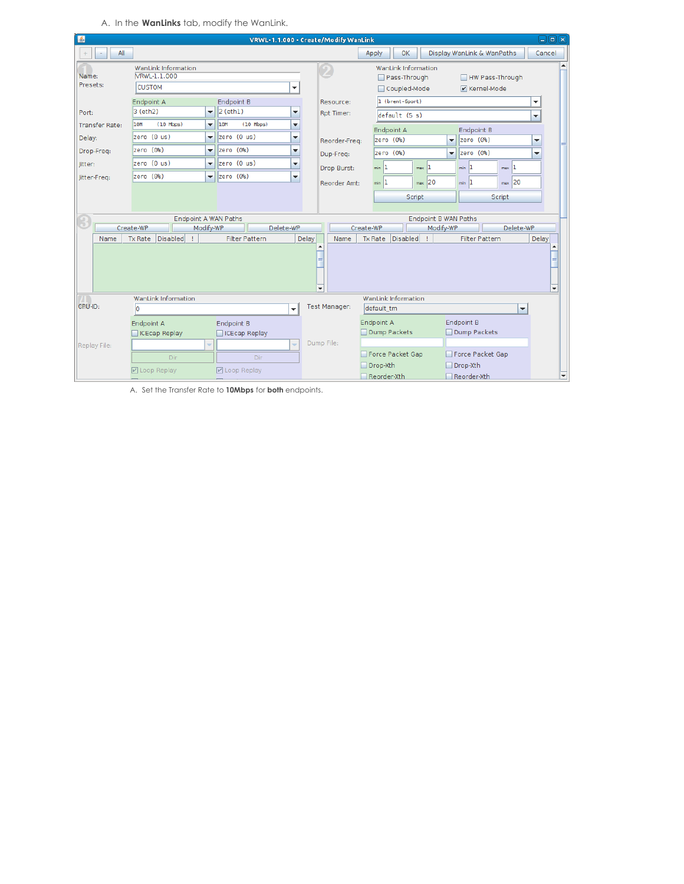A. In the **WanLinks** tab, modify the WanLink.

| 国                     | VRWL-1.1.000 - Create/Modify WanLink                 |                                             |                          |                      |                                                     |                             | $\Box$ e $\bm{x}$                  |                          |
|-----------------------|------------------------------------------------------|---------------------------------------------|--------------------------|----------------------|-----------------------------------------------------|-----------------------------|------------------------------------|--------------------------|
| All                   |                                                      |                                             |                          |                      | Apply<br>OK                                         |                             | Display WanLink & WanPaths         | Cancel                   |
| Name:<br>Presets:     | WanLink Information<br>VRWL-1.1.000<br><b>CUSTOM</b> |                                             | $\overline{\phantom{a}}$ |                      | WanLink Information<br>Pass-Through<br>Coupled-Mode |                             | HW Pass-Through<br>$V$ Kernel-Mode |                          |
|                       | Endpoint A                                           | <b>Endpoint B</b>                           |                          | Resource:            | 1 (brent-6port)                                     |                             |                                    | $\blacktriangledown$     |
| Port:                 | 3 (eth2)                                             | $ 2$ (eth $1$ )<br>$\overline{\phantom{0}}$ | ▼                        | Rpt Timer:           | default (5 s)                                       |                             |                                    | ▼                        |
| <b>Transfer Rate:</b> | <b>10M</b><br>$(10$ Mbps)                            | $(10$ Mbps)<br>10M<br>$\blacktriangledown$  | ▼                        |                      | Endpoint A                                          |                             | <b>Endpoint B</b>                  |                          |
| Delay:                | zero (0 us)                                          | zero (0 us)<br>▼                            | ▼                        | Reorder-Freq:        | zero (O%)                                           | $\overline{\phantom{0}}$    | zero (O%)                          | ▼                        |
| Drop-Freq:            | zero (O%)                                            | zero (O%)<br>▼                              | ▼                        | Dup-Freq:            | zero (O%)                                           | $\overline{\phantom{a}}$    | zero (O%)                          | $\overline{\phantom{a}}$ |
| litter:               | zero (0 us)                                          | zero (0 us)<br>$\blacktriangledown$         | ▼                        | Drop Burst:          | n<br>min                                            | $max$ <sup>1</sup>          | $min$ 1<br>$max$ <sup>1</sup>      |                          |
| Jitter-Freq:          | zero (O%)                                            | zero (0%)<br>۰                              | ▼                        |                      | 1                                                   | 20                          | $max$ 20<br>$min$ 1                |                          |
|                       |                                                      |                                             |                          | Reorder Amt:         | min                                                 | max.                        |                                    |                          |
|                       |                                                      |                                             |                          |                      |                                                     | Script                      | Script                             |                          |
|                       | <b>Endpoint A WAN Paths</b>                          |                                             |                          |                      |                                                     | <b>Endpoint B WAN Paths</b> |                                    |                          |
|                       | Modify-WP<br>Create-WP                               | Delete-WP                                   |                          |                      | Create-WP                                           | Modify-WP                   | Delete-WP                          |                          |
| Name                  | Disabled<br><b>Tx Rate</b>                           | <b>Filter Pattern</b>                       | Delay                    | Name                 | Disabled<br><b>Tx Rate</b>                          |                             | <b>Filter Pattern</b>              | Delay                    |
|                       | $\overline{\phantom{a}}$<br>$\overline{\phantom{a}}$ |                                             |                          |                      |                                                     |                             |                                    |                          |
|                       | WanLink Information                                  |                                             |                          | <b>Test Manager:</b> | WanLink Information                                 |                             |                                    |                          |
| CPU-ID:<br>÷<br>10    |                                                      |                                             |                          | default tm           |                                                     | $\blacktriangledown$        |                                    |                          |
|                       | Endpoint A                                           | Endpoint B                                  |                          |                      | Endpoint A                                          |                             | Endpoint B                         |                          |
|                       | <b>CEcap Replay</b>                                  | ICEcap Replay                               |                          | Dump File:           | Dump Packets                                        |                             | Dump Packets                       |                          |
| Replay File:          | ÷                                                    |                                             | $\overline{\phantom{a}}$ |                      | Force Packet Gap                                    |                             | Force Packet Gap                   |                          |
|                       | Dir                                                  | Dir                                         |                          |                      | Drop-Xth                                            |                             | Drop-Xth                           |                          |
|                       | ■ Loop Replay                                        | <b>☑</b> Loop Replay                        |                          |                      | Reorder-Xth                                         |                             | Reorder-Xth                        | ٠                        |

A. Set the Transfer Rate to **10Mbps** for **both** endpoints.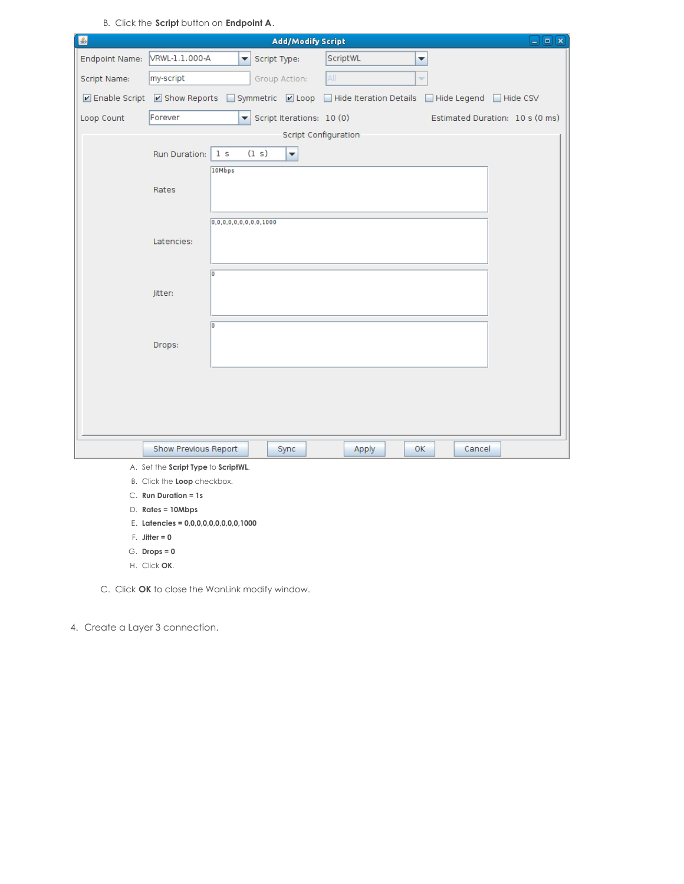B. Click the **Script** button on **Endpoint A**.

| 圖                     | $\Box x$<br><b>Add/Modify Script</b><br>$\Box$                                                                   |  |
|-----------------------|------------------------------------------------------------------------------------------------------------------|--|
| <b>Endpoint Name:</b> | VRWL-1.1.000-A<br>ScriptWL<br>Script Type:<br>٠<br>۰                                                             |  |
| Script Name:          | All<br>my-script<br>Group Action:<br>÷                                                                           |  |
|                       | ☑ Enable Script ■ Show Reports<br>Symmetric 2 Loop Hide Iteration Details Hide Legend Hide CSV<br><b>College</b> |  |
| Loop Count            | Forever<br>Script Iterations: 10 (0)<br>Estimated Duration: 10 s (0 ms)<br>$\overline{\phantom{a}}$              |  |
|                       | Script Configuration                                                                                             |  |
|                       | (1 s)<br>Run Duration:<br>1 <sub>s</sub><br>$\blacktriangledown$                                                 |  |
|                       | 10Mbps                                                                                                           |  |
|                       | Rates                                                                                                            |  |
|                       |                                                                                                                  |  |
|                       | 0, 0, 0, 0, 0, 0, 0, 0, 0, 1000                                                                                  |  |
|                       | Latencies:                                                                                                       |  |
|                       |                                                                                                                  |  |
|                       | Го                                                                                                               |  |
|                       | Jitter:                                                                                                          |  |
|                       | o                                                                                                                |  |
|                       | Drops:                                                                                                           |  |
|                       |                                                                                                                  |  |
|                       |                                                                                                                  |  |
|                       |                                                                                                                  |  |
|                       |                                                                                                                  |  |
|                       |                                                                                                                  |  |
|                       | Show Previous Report<br>Sync<br>Apply<br>0K<br>Cancel                                                            |  |
|                       | A. Set the Script Type to ScriptWL.                                                                              |  |

- B. Click the **Loop** checkbox.
- C. **Run Duration = 1s**
- D. **Rates = 10Mbps**
- E. **Latencies = 0,0,0,0,0,0,0,0,0,1000**
- F. **Jitter = 0**
- G. **Drops = 0**
- H. Click **OK**.

C. Click **OK** to close the WanLink modify window.

4. Create a Layer 3 connection.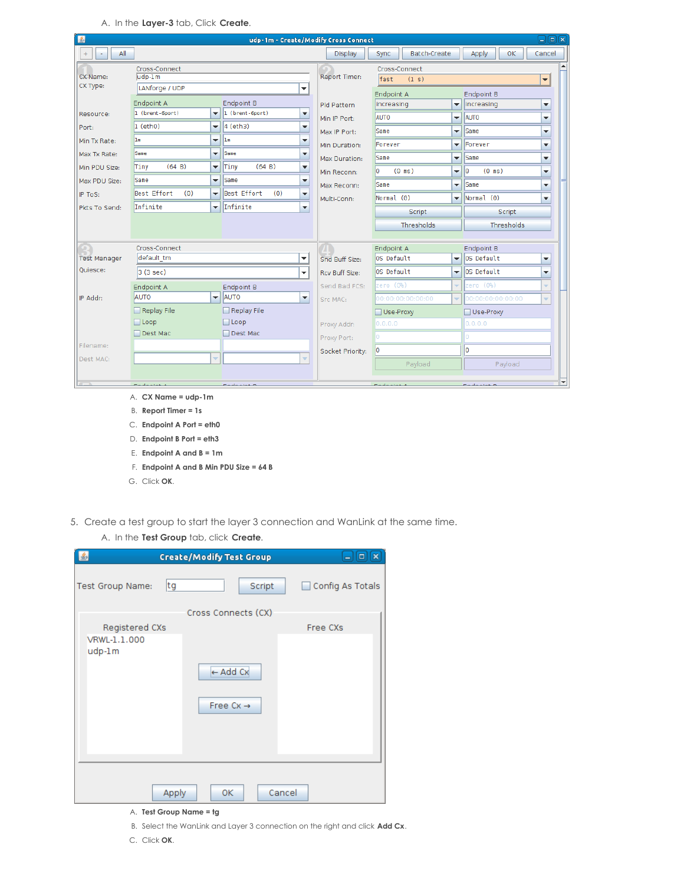A. In the **Layer-3** tab, Click **Create**.

| 图                                                                                                                |                                                                                                                             |                                                                                                                                                                                | udp-1m - Create/Modify Cross Connect                                                                                                                                                                                                                   |                                                                                                                                   |                                                                                                                                                          |                                                                                                                                                        |                                                                                                                                                                 |                                                                                                      | $\Box$ e $\kappa$ |
|------------------------------------------------------------------------------------------------------------------|-----------------------------------------------------------------------------------------------------------------------------|--------------------------------------------------------------------------------------------------------------------------------------------------------------------------------|--------------------------------------------------------------------------------------------------------------------------------------------------------------------------------------------------------------------------------------------------------|-----------------------------------------------------------------------------------------------------------------------------------|----------------------------------------------------------------------------------------------------------------------------------------------------------|--------------------------------------------------------------------------------------------------------------------------------------------------------|-----------------------------------------------------------------------------------------------------------------------------------------------------------------|------------------------------------------------------------------------------------------------------|-------------------|
| All<br>$+$<br>٠                                                                                                  |                                                                                                                             |                                                                                                                                                                                |                                                                                                                                                                                                                                                        | Display                                                                                                                           | <b>Batch-Create</b><br>Sync                                                                                                                              |                                                                                                                                                        | Apply<br>0K                                                                                                                                                     | Cancel                                                                                               |                   |
| CX Name:<br>CX Type:                                                                                             | Cross-Connect<br>$udp-1m$<br>LANforge / UDP                                                                                 |                                                                                                                                                                                | $\overline{\phantom{a}}$                                                                                                                                                                                                                               | <b>Report Timer:</b>                                                                                                              | Cross-Connect<br>fast<br>(1 s)                                                                                                                           |                                                                                                                                                        |                                                                                                                                                                 | $\overline{\phantom{a}}$                                                                             |                   |
| Resource:<br>Port:<br>Min Tx Rate:<br>Max Tx Rate:<br>Min PDU Size:<br>Max PDU Size:<br>IP ToS:<br>Pkts To Send: | Endpoint A<br>1 (brent-6port)<br>$\vert$ 1 (eth0)<br>1m<br>Same<br>(64 B)<br>Tiny<br>Same<br>Best Effort<br>(0)<br>Infinite | $\overline{\phantom{a}}$<br>٠<br>٠<br>$\overline{\phantom{a}}$<br>$\overline{\phantom{a}}$<br>$\overline{\phantom{a}}$<br>$\overline{\phantom{a}}$<br>$\overline{\phantom{a}}$ | <b>Endpoint B</b><br>1 (brent-6port)<br>$\blacktriangledown$<br>$ 4$ (eth <sub>3</sub> )<br>▼<br>$\ln$<br>$\overline{\phantom{a}}$<br>Same<br>▼<br>(64 B)<br>Tiny<br>▼<br>Same<br>۰<br>Best Effort<br>(0)<br>▼<br>Infinite<br>$\overline{\phantom{a}}$ | <b>Pld Pattern</b><br>Min IP Port:<br>Max IP Port:<br>Min Duration:<br>Max Duration:<br>Min Reconn:<br>Max Reconn:<br>Multi-Conn: | Endpoint A<br>increasing<br><b>AUTO</b><br>Same<br>Forever<br>Same<br>I٥<br>$(0 \text{ ms})$<br>Same<br>Normal (0)<br><b>Script</b><br><b>Thresholds</b> | ▼<br>$\overline{\phantom{a}}$<br>$\overline{\phantom{a}}$<br>▼<br>$\overline{\phantom{a}}$<br>▼<br>$\overline{\phantom{a}}$<br>$\overline{\mathbf{v}}$ | <b>Endpoint B</b><br>increasing<br><b>AUTO</b><br><i><b>Same</b></i><br>Forever<br>Same<br>I٥<br>$(0 \text{ ms})$<br>Same<br>Normal (0)<br>Script<br>Thresholds | ▼<br>▼<br>▼<br>$\overline{\phantom{a}}$<br>▼<br>$\overline{\phantom{a}}$<br>$\overline{\phantom{a}}$ | ▼                 |
| <b>Test Manager</b>                                                                                              | Cross-Connect<br>default tm                                                                                                 |                                                                                                                                                                                | ▼                                                                                                                                                                                                                                                      | Snd Buff Size:                                                                                                                    | Endpoint A<br>OS Default                                                                                                                                 | $\overline{\phantom{a}}$                                                                                                                               | <b>Endpoint B</b><br>OS Default                                                                                                                                 |                                                                                                      | ▼                 |
| Ouiesce:                                                                                                         | 3(3 sec)                                                                                                                    |                                                                                                                                                                                | ٠                                                                                                                                                                                                                                                      | Rcv Buff Size:                                                                                                                    | OS Default                                                                                                                                               | ٠                                                                                                                                                      | OS Default                                                                                                                                                      | $\overline{\phantom{a}}$                                                                             |                   |
|                                                                                                                  | Endpoint A                                                                                                                  |                                                                                                                                                                                | Endpoint B                                                                                                                                                                                                                                             | Send Bad FCS:                                                                                                                     | zero (O%)                                                                                                                                                | ٠                                                                                                                                                      | zero (O%)                                                                                                                                                       |                                                                                                      |                   |
| IP Addr:                                                                                                         | AUTO<br>Replay File                                                                                                         | $\overline{\phantom{0}}$                                                                                                                                                       | AUTO<br>$\overline{\mathbf{v}}$<br>$\Box$ Replay File                                                                                                                                                                                                  | Src MAC:                                                                                                                          | 00:00:00:00:00:00<br>Use-Proxy                                                                                                                           | ÷                                                                                                                                                      | 00:00:00:00:00:00<br>Use-Proxy                                                                                                                                  |                                                                                                      |                   |
|                                                                                                                  | $\Box$ Loop                                                                                                                 |                                                                                                                                                                                | $\Box$ Loop                                                                                                                                                                                                                                            | Proxy Addr:                                                                                                                       | 0.0.0.0                                                                                                                                                  |                                                                                                                                                        | 0.0.0.0                                                                                                                                                         |                                                                                                      |                   |
|                                                                                                                  | □ Dest Mac                                                                                                                  |                                                                                                                                                                                | Dest Mac                                                                                                                                                                                                                                               | Proxy Port:                                                                                                                       | O.                                                                                                                                                       |                                                                                                                                                        | Ō                                                                                                                                                               |                                                                                                      |                   |
| Filename:                                                                                                        |                                                                                                                             |                                                                                                                                                                                |                                                                                                                                                                                                                                                        | Socket Priority:                                                                                                                  | o                                                                                                                                                        |                                                                                                                                                        | lo                                                                                                                                                              |                                                                                                      |                   |
| Dest MAC:                                                                                                        |                                                                                                                             | ÷                                                                                                                                                                              | ÷                                                                                                                                                                                                                                                      |                                                                                                                                   | Payload                                                                                                                                                  |                                                                                                                                                        | Payload                                                                                                                                                         |                                                                                                      |                   |
|                                                                                                                  |                                                                                                                             |                                                                                                                                                                                |                                                                                                                                                                                                                                                        |                                                                                                                                   |                                                                                                                                                          |                                                                                                                                                        |                                                                                                                                                                 |                                                                                                      |                   |

- B. **Report Timer = 1s**
- C. **Endpoint A Port = eth0**
- D. **Endpoint B Port = eth3**
- E. **Endpoint A and B = 1m**
- F. **Endpoint A and B Min PDU Size = 64 B**
- G. Click **OK**.
- 5. Create a test group to start the layer 3 connection and WanLink at the same time.
	- A. In the **Test Group** tab, click **Create**.

|                        | <b>Create/Modify Test Group</b>              | $\vert$ o $\vert$<br>$\mathbf x$<br>$\equiv$ |
|------------------------|----------------------------------------------|----------------------------------------------|
| tg<br>Test Group Name: | Script                                       | Config As Totals                             |
|                        | Cross Connects (CX)                          |                                              |
| Registered CXs         |                                              | Free CXs                                     |
| VRWL-1.1.000<br>udp-1m | $\leftarrow$ Add Cx<br>Free $Cx \rightarrow$ |                                              |
| Apply                  | Cancel<br>OК                                 |                                              |

- A. **Test Group Name = tg**
- B. Select the WanLink and Layer 3 connection on the right and click **Add Cx**.